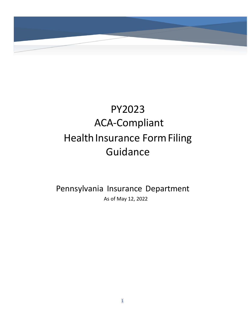

# PY2023 ACA-Compliant Health Insurance Form Filing Guidance

Pennsylvania Insurance Department As of May 12, 2022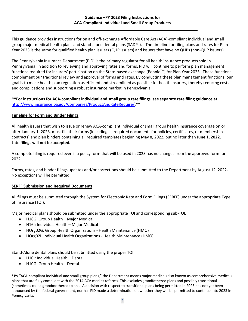This guidance provides instructions for on and off-exchange Affordable Care Act (ACA)-compliant individual and small group major medical health plans and stand-alone dental plans (SADPs).<sup>[1](#page-1-0)</sup> The timeline for filing plans and rates for Plan Year 2023 is the same for qualified health plan issuers (QHP issuers) and issuers that have no QHPs (non-QHP issuers).

The Pennsylvania Insurance Department (PID) is the primary regulator for all health insurance products sold in Pennsylvania. In addition to reviewing and approving rates and forms, PID will continue to perform plan management functions required for insurers' participation on the State-based exchange (PennieTM) for Plan Year 2023. These functions complement our traditional review and approval of forms and rates. By conducting these plan management functions, our goal is to make health plan regulation as efficient and streamlined as possible for health insurers, thereby reducing costs and complications and supporting a robust insurance market in Pennsylvania.

#### **\*\*For instructions for ACA-compliant individual and small group rate filings, see separate rate filing guidance at**  [http://www.insurance.pa.gov/Companies/ProductAndRateRequire/](http://www.insurance.pa.gov/Companies/ProductAndRateRequire/Pages/default.aspx#.Vt2H6_krKJA)**.\*\***

#### **Timeline for Form and Binder Filings**

All health issuers that wish to issue or renew ACA-compliant individual or small group health insurance coverage on or after January 1, 2023, must file their forms (including all required documents for policies, certificates, or membership contracts) and plan binders containing all required templates beginning May 8, 2022, but no later than **June 1, 2022. Late filings will not be accepted.** 

A complete filing is required even if a policy form that will be used in 2023 has no changes from the approved form for 2022.

Forms, rates, and binder filings updates and/or corrections should be submitted to the Department by August 12, 2022**.** No exceptions will be permitted.

## **SERFF Submission and Required Documents**

All filings must be submitted through the System for Electronic Rate and Form Filings (SERFF) under the appropriate Type of Insurance (TOI).

Major medical plans should be submitted under the appropriate TOI and corresponding sub-TOI.

- H16G: Group Health Major Medical
- H16I: Individual Health Major Medical
- HOrg02G: Group Health Organizations Health Maintenance (HMO)
- HOrg02I: Individual Health Organizations Health Maintenance (HMO)

Stand-Alone dental plans should be submitted using the proper TOI.

- H10I: Individual Health Dental
- H10G: Group Health Dental

<span id="page-1-0"></span> $1$  By "ACA-compliant individual and small group plans," the Department means major medical (also known as comprehensive medical) plans that are fully compliant with the 2014 ACA market reforms. This excludes grandfathered plans and possibly transitional (sometimes called grandmothered) plans. A decision with respect to transitional plans being permitted in 2023 has not yet been announced by the federal government, nor has PID made a determination on whether they will be permitted to continue into 2023 in Pennsylvania.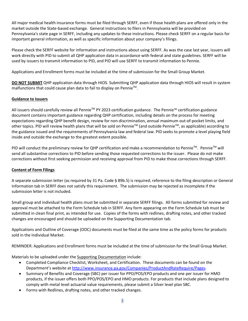All major medical health insurance forms must be filed through SERFF, even if those health plans are offered only in the market outside the State-based exchange. General instructions to filers in Pennsylvania will be provided on Pennsylvania's state page in SERFF, including any updates to these instructions. Please check SERFF on a regular basis for important general information, as well as specific information about your company's filings.

Please check the SERFF website for information and instructions about using SERFF. As was the case last year, issuers will work directly with PID to submit all QHP application data in accordance with federal and state guidelines. SERFF will be used by issuers to transmit information to PID, and PID will use SERFF to transmit information to Pennie.

Applications and Enrollment forms must be included at the time of submission for the Small Group Market.

**DO NOT SUBMIT** QHP application data through HIOS. Submitting QHP application data through HIOS will result in system malfunctions that could cause plan data to fail to display on Pennie<sup>™</sup>.

## **Guidance to Issuers**

All issuers should carefully review all Pennie<sup>™</sup> PY 2023 certification guidance. The Pennie™ certification guidance document contains important guidance regarding QHP certification, including details on the process for meeting expectations regarding QHP benefit design, review for non-discrimination, annual maximum out-of-pocket limits, and other topics. PID will review health plans that will be sold on Pennie™ (and outside Pennie™, as applicable) according to the guidance issued and the requirements of Pennsylvania law and federal law. PID seeks to promote a level playing field inside and outside the exchange to the greatest extent possible.

PID will conduct the preliminary review for QHP certification and make a recommendation to Pennie™. Pennie™ will send all substantive corrections to PID before sending those requested corrections to the issuer. Please do not make corrections without first seeking permission and receiving approval from PID to make those corrections through SERFF.

## **Content of Form Filings**

A separate submission letter (as required by 31 Pa. Code § 89b.5) is required; reference to the filing description or General Information tab in SERFF does not satisfy this requirement. The submission may be rejected as incomplete if the submission letter is not included.

Small group and individual health plans must be submitted in separate SERFF filings. All forms submitted for review and approval must be attached to the Form Schedule tab in SERFF. Any form appearing on the Form Schedule tab must be submitted in clean final print, as intended for use. Copies of the forms with redlines, drafting notes, and other tracked changes are encouraged and should be uploaded on the Supporting Documentation tab.

Applications and Outline of Coverage (OOC) documents must be filed at the same time as the policy forms for products sold in the Individual Market.

REMINDER: Applications and Enrollment forms must be included at the time of submission for the Small Group Market.

Materials to be uploaded under the Supporting Documentation include:

- Completed Compliance Checklist, Worksheet, and Certification. These documents can be found on the Department's website at [http://www.insurance.pa.gov/Companies/ProductAndRateRequire/Pages.](http://www.insurance.pa.gov/Companies/ProductAndRateRequire/Pages)
- Summary of Benefits and Coverage (SBC) per issuer for PPO/POS/EPO products and one per issuer for HMO products, if the issuer offers both PPO/POS/EPO and HMO products. For products that include plans designed to comply with metal level actuarial value requirements, please submit a Silver level plan SBC.
- Forms with Redlines, drafting notes, and other tracked changes.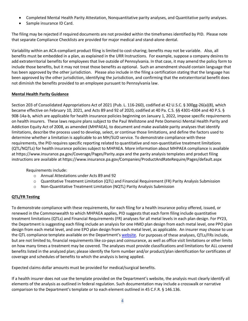- Completed Mental Health Parity Attestation, Nonquantitative parity analyses, and Quantitative parity analyses.
- Sample insurance ID Card.

The filing may be rejected if required documents are not provided within the timeframes identified by PID. Please note that separate Compliance Checklists are provided for major medical and stand-alone dental.

Variability within an ACA-compliant product filing is limited to cost-sharing; benefits may not be variable. Also, all benefits must be embedded in a plan, as explained in the URR Instructions. For example, suppose a company desires to add extraterritorial benefits for employees that live outside of Pennsylvania. In that case, it may amend the policy form to include those benefits, but it may not treat those benefits as optional. Such an amendment should contain language that has been approved by the other jurisdiction. Please also include in the filing a certification stating that the language has been approved by the other jurisdiction, identifying the jurisdiction, and confirming that the extraterritorial benefit does not diminish the benefits provided to an employee pursuant to Pennsylvania law.

## **Mental Health Parity Guidance**

Section 203 of Consolidated Appropriations Act of 2021 (Pub. L. 116-260), codified at 42 U.S.C. § 300gg-26(a)(8), which became effective on February 10, 2021, and Acts 89 and 92 of 2020, codified at 40 Pa. C.S. §§ 4301-4304 and 40 P.S. § 908-14a-b, which are applicable for health insurance policies beginning on January 1, 2022, impose specific requirements on health insurers. These laws require plans subject to the Paul Wellstone and Pete Domenici Mental Health Parity and Addiction Equity Act of 2008, as amended (MHPAEA), to document and make available parity analyses that identify limitations, describe the process used to develop, select, or continue those limitations, and define the factors used to determine whether a limitation is applicable to an MH/SUD service. To demonstrate compliance with these requirements, the PID requires specific reporting related to quantitative and non-quantitative treatment limitations (QTL/NQTLs) for health insurance policies subject to MHPAEA. More information about MHPAEA compliance is available at https://www.insurance.pa.gov/Coverage/Pages/Parity.aspx and the parity analysis templates and product filing instructions are available at https://www.insurance.pa.gov/Companies/ProductAndRateRequire/Pages/default.aspx

#### Requirements include:

- o Annual Attestations under Acts 89 and 92
- o Quantitative Treatment Limitation (QTL) and Financial Requirement (FR) Parity Analysis Submission
- o Non-Quantitative Treatment Limitation (NQTL) Parity Analysis Submission

## **QTL/FR Testing**

To demonstrate compliance with these requirements, for each filing for a health insurance policy offered, issued, or renewed in the Commonwealth to which MHPAEA applies, PID suggests that each form filing include quantitative treatment limitations (QTLs) and Financial Requirements (FR) analyses for all metal levels in each plan design. For PY23, the Department is suggesting each filing include an analysis for one HMO plan design from each metal level, one PPO plan design from each metal level, and one EPO plan design from each metal level, as applicable. An insurer may choose to use the QTL compliance template available on the Department'[s website.](https://www.insurance.pa.gov/Companies/ProductAndRateRequire/Pages/default.aspx) For purposes of these analyses, QTLs/FRs include, but are not limited to, financial requirements like co-pays and coinsurance, as well as office visit limitations or other limits on how many times a treatment may be covered. The analyses must provide classifications and limitations for ALL covered benefits listed in the analyzed plan; please identify the form number and/or product/plan identification for certificates of coverage and schedules of benefits to which the analysis is being applied.

Expected claims dollar amounts must be provided for medical/surgical benefits.

If a health insurer does not use the template provided on the Department's website, the analysis must clearly identify all elements of the analysis as outlined in federal regulation. Such documentation may include a crosswalk or narrative comparison to the Department's template or to each element outlined in 45 C.F.R. § 146.136.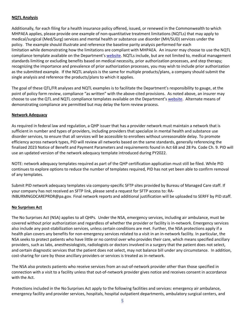## **NQTL Analysis**

Additionally, for each filing for a health insurance policy offered, issued, or renewed in the Commonwealth to which MHPAEA applies, please provide one example of non-quantitative treatment limitations (NQTLs) that may apply to medical/surgical (Med/Surg) services and mental health or substance use disorder (MH/SUD) services under the policy. The example should illustrate and reference the baseline parity analysis performed for each limitation while demonstrating how the limitations are compliant with MHPAEA. An insurer may choose to use the NQTL compliance template available on the Department's [website.](https://www.insurance.pa.gov/Companies/ProductAndRateRequire/Pages/default.aspx) NQTLs include, but are not limited to, medical management standards limiting or excluding benefits based on medical necessity, prior authorization processes, and step therapy; recognizing the importance and prevalence of prior authorization processes, you may wish to include prior authorization as the submitted example. If the NQTL analysis is the same for multiple products/plans, a company should submit the single analysis and reference the products/plans to which it applies.

The goal of these QTL/FR analyses and NQTL examples is to facilitate the Department's responsibility to gauge, at the point of policy form review, compliance "as written" with the above-cited provisions. As noted above, an insurer may choose to use the QTL and NQTL compliance templates available on the Department's [website.](https://www.insurance.pa.gov/Companies/ProductAndRateRequire/Pages/default.aspx) Alternate means of demonstrating compliance are permitted but may delay the form review process.

#### **Network Adequacy**

As required in federal law and regulation, a QHP issuer that has a provider network must maintain a network that is sufficient in number and types of providers, including providers that specialize in mental health and substance use disorder services, to ensure that all services will be accessible to enrollees without unreasonable delay. To promote efficiency across network types, PID will review all networks based on the same standards, generally referencing the finalized 2023 Notice of Benefit and Payment Parameters and requirements found in Act 68 and 28 Pa. Code Ch. 9. PID will use an updated version of the network adequacy template introduced during PY2022.

NOTE: network adequacy templates required as part of the QHP certification application must still be filed. While PID continues to explore options to reduce the number of templates required, PID has not yet been able to confirm removal of any templates.

Submit PID network adequacy templates via company-specific SFTP sites provided by Bureau of Managed Care staff. If your company has not received an SFTP link, please send a request for SFTP access to: RA-INBURMNGDCAREPRDR@pa.gov. Final network reports and additional justification will be uploaded to SERFF by PID staff.

#### **No Surprises Act**

The No Surprises Act (NSA) applies to all QHPs. Under the NSA, emergency services, including air ambulance, must be covered without prior authorization and regardless of whether the provider or facility is in-network. Emergency services also include any post-stabilization services, unless certain conditions are met. Further, the NSA protections apply if a health plan covers any benefits for non-emergency services related to a visit in an in-network facility. In particular, the NSA seeks to protect patients who have little or no control over who provides their care, which means specified ancillary providers, such as labs, anesthesiologists, radiologists or doctors involved in a surgery that the patient does not select, and certain diagnostic services that the patient does not select, may not balance bill under any circumstance. In addition, cost-sharing for care by those ancillary providers or services is treated as in-network.

The NSA also protects patients who receive services from an out-of-network provider other than those specified in connection with a visit to a facility unless that out-of-network provider gives notice and receives consent in accordance with the Act.

Protections included in the No Surprises Act apply to the following facilities and services: emergency air ambulance, emergency facility and provider services, hospitals, hospital outpatient departments, ambulatory surgical centers, and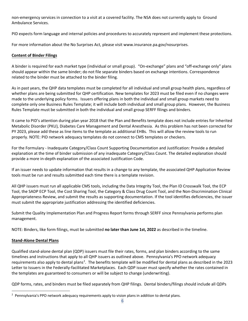non-emergency services in connection to a visit at a covered facility. The NSA does not currently apply to Ground Ambulance Services.

PID expects form language and internal policies and procedures to accurately represent and implement these protections.

For more information about the No Surprises Act, please visit www.insurance.pa.gov/nosurprises.

## **Content of Binder Filings**

A binder is required for each market type (individual or small group). "On-exchange" plans and "off-exchange only" plans should appear within the same binder; do not file separate binders based on exchange intentions. Correspondence related to the binder must be attached to the binder filing.

As in past years, the QHP data templates must be completed for all individual and small group health plans, regardless of whether plans are being submitted for QHP certification. New templates for 2023 must be filed even if no changes were made to the underlying policy forms. Issuers offering plans in both the individual and small group markets need to complete only one Business Rules Template; it will include both individual and small group plans. However, the Business Rules Template must be submitted in both the individual and small group SERFF filings and binders.

It came to PID's attention during plan year 2018 that the Plan and Benefits template does not include entries for Inherited Metabolic Disorder (PKU), Diabetes Care Management and Dental Anesthesia. As this problem has not been corrected for PY 2023, please add these as line items to the template as additional EHBs. This will allow the review tools to run properly. NOTE: PID network adequacy templates do not connect to CMS templates or checkers.

For the Formulary - Inadequate Category/Class Count Supporting Documentation and Justification: Provide a detailed explanation at the time of binder submission of any inadequate Category/Class Count. The detailed explanation should provide a more in-depth explanation of the associated Justification Code.

If an issuer needs to update information that results in a change to any template, the associated QHP Application Review tools must be run and results submitted each time there is a template revision.

All QHP issuers must run all applicable CMS tools, including the Data Integrity Tool, the Plan ID Crosswalk Tool, the ECP Tool, the SADP ECP Tool, the Cost Sharing Tool, the Category & Class Drug Count Tool, and the Non-Discrimination Clinical Appropriateness Review, and submit the results as supporting documentation. If the tool identifies deficiencies, the issuer must submit the appropriate justification addressing the identified deficiencies.

Submit the Quality Implementation Plan and Progress Report forms through SERFF since Pennsylvania performs plan management.

NOTE: Binders, like form filings, must be submitted **no later than June 1st, 2022** as described in the timeline.

## **Stand-Alone Dental Plans**

Qualified stand-alone dental plan (QDP) issuers must file their rates, forms, and plan binders according to the same timelines and instructions that apply to all QHP issuers as outlined above. Pennsylvania's PPO network adequacy requirements also apply to dental plans<sup>[2](#page-5-0)</sup>. The benefits template will be modified for dental plans as described in the 2023 Letter to Issuers in the Federally-facilitated Marketplaces. Each QDP issuer must specify whether the rates contained in the templates are guaranteed to consumers or will be subject to change (underwriting).

QDP forms, rates, and binders must be filed separately from QHP filings. Dental binders/filings should include all QDPs

<span id="page-5-0"></span><sup>&</sup>lt;sup>2</sup> Pennsylvania's PPO network adequacy requirements apply to vision plans in addition to dental plans.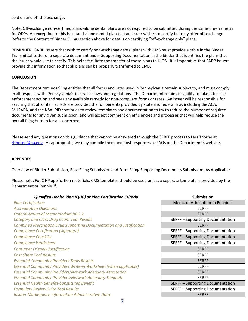sold on and off the exchange.

Note: Off-exchange non-certified stand-alone dental plans are not required to be submitted during the same timeframe as for QDPs. An exception to this is a stand-alone dental plan that an issuer wishes to certify but only offer off-exchange. Refer to the Content of Binder Filings section above for details on certifying "off-exchange only" plans.

REMINDER: SADP issuers that wish to certify non-exchange dental plans with CMS must provide a table in the Binder Transmittal Letter or a separate document under Supporting Documentation in the binder that identifies the plans that the issuer would like to certify. This helps facilitate the transfer of those plans to HIOS. It is imperative that SADP issuers provide this information so that all plans can be properly transferred to CMS.

#### **CONCLUSION**

The Department reminds filing entities that all forms and rates used in Pennsylvania remain subject to, and must comply in all respects with, Pennsylvania's insurance laws and regulations. The Department retains its ability to take after-use enforcement action and seek any available remedy for non-compliant forms or rates. An issuer will be responsible for assuring that all of its insureds are provided the full benefits provided by state and federal law, including the ACA, MHPAEA, and the NSA. PID continues to review templates and documentation to try to reduce the number of required documents for any given submission, and will accept comment on efficiencies and processes that will help reduce the overall filing burden for all concerned.

Please send any questions on this guidance that cannot be answered through the SERFF process to Lars Thorne at [rlthorne@pa.gov.](mailto:rlthorne@pa.gov) As appropriate, we may compile them and post responses as FAQs on the Department's website.

#### **APPENDIX**

Overview of Binder Submission, Rate Filing Submission and Form Filing Supporting Documents Submission, As Applicable

Please note: For QHP application materials, CMS templates should be used unless a separate template is provided by the Department or Pennie<sup>™</sup>.

| Qualified Health Plan (QHP) or Plan Certification Criteria                | <b>Submission</b>                          |
|---------------------------------------------------------------------------|--------------------------------------------|
| <b>Plan Certification</b>                                                 | Memo of Attestation to Pennie <sup>™</sup> |
| <b>Accreditation Questions</b>                                            | <b>SERFF</b>                               |
| <b>Federal Actuarial Memorandum RRG.2</b>                                 | <b>SERFF</b>                               |
| Category and Class Drug Count Tool Results                                | <b>SERFF-Supporting Documentation</b>      |
| Combined Prescription Drug Supporting Documentation and Justification     | <b>SERFF</b>                               |
| Compliance Certification (signature)                                      | SERFF - Supporting Documentation           |
| <b>Compliance Checklist</b>                                               | <b>SERFF-Supporting Documentation</b>      |
| <b>Compliance Worksheet</b>                                               | SERFF - Supporting Documentation           |
| <b>Consumer Friendly Justification</b>                                    | <b>SERFF</b>                               |
| <b>Cost Share Tool Results</b>                                            | <b>SERFF</b>                               |
| <b>Essential Community Providers Tools Results</b>                        | <b>SERFF</b>                               |
| <b>Essential Community Providers Write-in Worksheet (when applicable)</b> | <b>SERFF</b>                               |
| <b>Essential Community Providers/Network Adequacy Attestation</b>         | <b>SERFF</b>                               |
| <b>Essential Community Providers/Network Adequacy Template</b>            | <b>SERFF</b>                               |
| <b>Essential Health Benefits-Substituted Benefit</b>                      | <b>SERFF-Supporting Documentation</b>      |
| <b>Formulary Review Suite Tool Results</b>                                | <b>SERFF-Supporting Documentation</b>      |
| <b>Insurer Marketplace Information Administrative Data</b>                | <b>SERFF</b>                               |
|                                                                           |                                            |